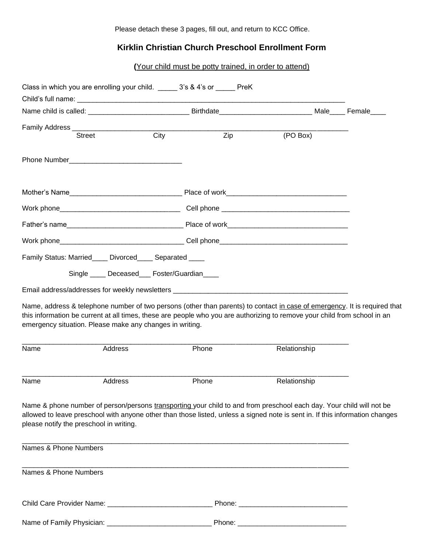Please detach these 3 pages, fill out, and return to KCC Office.

## **Kirklin Christian Church Preschool Enrollment Form**

**(**Your child must be potty trained, in order to attend)

| Class in which you are enrolling your child. 3's & 4's or PreK |         |                                              |                  |                                                                                                                                                                                                                                                        |  |
|----------------------------------------------------------------|---------|----------------------------------------------|------------------|--------------------------------------------------------------------------------------------------------------------------------------------------------------------------------------------------------------------------------------------------------|--|
|                                                                |         |                                              |                  | Name child is called: ___________________________________Birthdate_____________________________Male______Female____                                                                                                                                    |  |
| <b>Street</b>                                                  |         | City                                         | $\overline{Zip}$ | (PO Box)                                                                                                                                                                                                                                               |  |
|                                                                |         |                                              |                  |                                                                                                                                                                                                                                                        |  |
|                                                                |         |                                              |                  |                                                                                                                                                                                                                                                        |  |
|                                                                |         |                                              |                  |                                                                                                                                                                                                                                                        |  |
|                                                                |         |                                              |                  |                                                                                                                                                                                                                                                        |  |
|                                                                |         |                                              |                  | Work phone___________________________________Cell phone_________________________                                                                                                                                                                       |  |
| Family Status: Married____ Divorced____ Separated ____         |         |                                              |                  |                                                                                                                                                                                                                                                        |  |
|                                                                |         | Single _____ Deceased___ Foster/Guardian____ |                  |                                                                                                                                                                                                                                                        |  |
|                                                                |         |                                              |                  | Email address/addresses for weekly newsletters _________________________________                                                                                                                                                                       |  |
| emergency situation. Please make any changes in writing.       |         |                                              |                  | Name, address & telephone number of two persons (other than parents) to contact in case of emergency. It is required that<br>this information be current at all times, these are people who you are authorizing to remove your child from school in an |  |
|                                                                | Address | Phone                                        |                  | Relationship                                                                                                                                                                                                                                           |  |
| Name<br>Name                                                   | Address | Phone                                        |                  | Relationship                                                                                                                                                                                                                                           |  |
| please notify the preschool in writing.                        |         |                                              |                  | Name & phone number of person/persons transporting your child to and from preschool each day. Your child will not be<br>allowed to leave preschool with anyone other than those listed, unless a signed note is sent in. If this information changes   |  |
|                                                                |         |                                              |                  |                                                                                                                                                                                                                                                        |  |
| Names & Phone Numbers<br>Names & Phone Numbers                 |         |                                              |                  |                                                                                                                                                                                                                                                        |  |
|                                                                |         |                                              |                  |                                                                                                                                                                                                                                                        |  |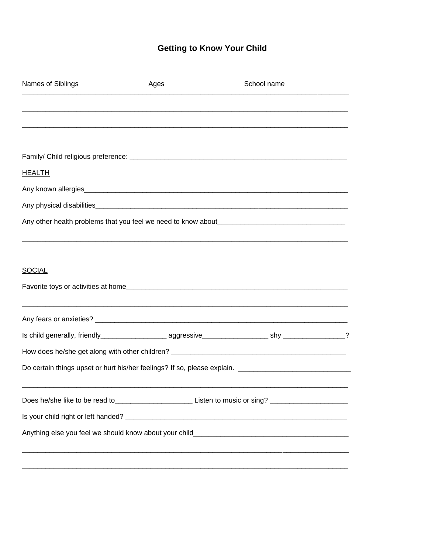## **Getting to Know Your Child**

| Names of Siblings | Ages | School name                                                                                                   |  |
|-------------------|------|---------------------------------------------------------------------------------------------------------------|--|
|                   |      |                                                                                                               |  |
|                   |      |                                                                                                               |  |
|                   |      |                                                                                                               |  |
| <u>HEALTH</u>     |      |                                                                                                               |  |
|                   |      |                                                                                                               |  |
|                   |      |                                                                                                               |  |
|                   |      |                                                                                                               |  |
| <b>SOCIAL</b>     |      |                                                                                                               |  |
|                   |      |                                                                                                               |  |
|                   |      |                                                                                                               |  |
|                   |      |                                                                                                               |  |
|                   |      |                                                                                                               |  |
|                   |      |                                                                                                               |  |
|                   |      | Does he/she like to be read to_____________________________Listen to music or sing? _________________________ |  |
|                   |      |                                                                                                               |  |
|                   |      |                                                                                                               |  |
|                   |      |                                                                                                               |  |